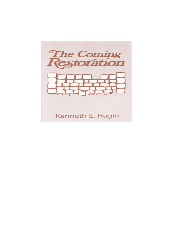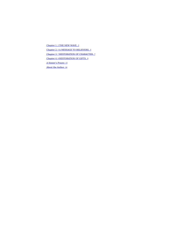Chapter 1. 2 THE NEW WAVE.. 2 Chapter 2. 5 A MESSAGE TO BELIEVERS.. 5 Chapter 3. 7 RESTORATION OF CHARACTER.. 7 Chapter 4. 9 RESTORATION OF GIFTS.. 9 A Sinner's Prayer. 13 About the Author. 14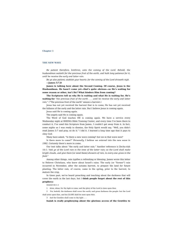# **THE NEW WAVE**

*Be patient therefore, brethren, unto the coming of the Lord. Behold, the husbandman waiteth for the precious fruit of the earth, and hath long patience for it, until he receive the early and latter rain.*

*Be ye also patient; stablish your hearts: for the coming of the Lord draweth nigh.* **—James 5:7,8**

**James is talking here about the Second Coming. Of course, Jesus is the Husbandman. He hasn't come yet—that's quite obvious—so He's waiting for some reason or other, isn't He? What hinders Him from coming?**

**The Scriptures tell us why He is waiting and what He is waiting for. He's waiting for** *"the precious fruit of the earth . . . until he receive the early and latter rain."* ("The precious fruit of the earth" means a harvest.)

Jesus has not yet received the harvest that is to come; He has not yet received the fullness of the early and the latter rain. But I believe Jesus is coming again.

Jesus said He is coming again.

The angels said He is coming again.

The Word of God teaches HE is coming again. We have a service every Wednesday night at RHEMA Bible Training Center, and every time I've been there to conduct it, I've used this Scripture from James. I couldn't get away from it. In fact, some nights as I was ready to dismiss, the Holy Spirit would say, "Well, you didn't read James 5:7 and pray, so do it." I did it. I learned a long time ago that it pays to obey God.

Many have asked, "Is there a new wave coming? Are we in that wave now?

Is there more to come?" *Personally, I believe we entered into the new wave in 1982.* Certainly there's more to come.

Our text talks about "the early and latter rain." Another reference is Zecha-riah 10:1: *"Ask ye of the Lord rain in the time of the latter rain; so the Lord shall make bright clouds, and give them* [or send them] *showers of rain, to every one grass in the field."*

Among other things, rain typifies a refreshing or blessing. James wrote this letter to Hebrew Christians, who knew about Israel's rains. The early (or "former") rain occurred in November, after the autumn harvest, to prepare the land for future planting. The latter rain, of course, came in the spring, prior to the harvest, to mature the crop.

In times past, we've heard preaching and teaching about the darkness that will cover the earth in the last days, but I **think people forget about the rest of this prophecy:**

ISAIAH 60:1-3

1 Arise, shine; for thy light is come, and the glory of the Lord is risen upon thee.

2 For, behold, the darkness shall cover the earth, and gross darkness the people: but the Lord shall arise upon thee, and his GLORY shall be seen upon thee.

3 And the Gentiles shall come to thy light . . .

**Isaiah is really prophesying about the glorious access of the Gentiles to**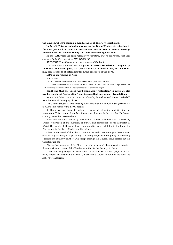**the Church. There's coming a manifestation of His** *glory,* **Isaiah says.**

**In Acts 2, Peter preached a sermon on the Day of Pentecost, referring to the Lord Jesus Christ and His resurrection. But in Acts 3, Peter's message reached over into the end times; it's a message that applies to us.**

**In the 19th verse he said,** *"Repent ye therefore, and be converted, that your sins may be blotted out, when THE TIMES OF*

*REFRESHING shall come from the presence of the Lord."*

*The American Standard Version* **gives a better translation: "Repent ye therefore, and turn again, that your sins may be blotted out, so that there may come seasons of refreshing from the presence of the Lord.**

## **Let's go on reading in Acts:**

ACTS 3:20,21

20 And he shall send Jesus Christ, which before was preached unto you:

21 Whom the heaven must receive until THE TIMES OF RESTITUTION of all things, which God hath spoken by the mouth of all his holy prophets since the world began.

**You'll find that the Greek word translated "restitution" in verse 21 also can be translated "restoration," and it reads that way in many translations.**

*Notice that Peter connected times of refreshing* **(we often call them "revivals")** *with the Second Coming of Christ.*

*Thus, Peter taught us that times of refreshing would come from the presence of the Lord in the time of the Lord's return!*

So there are two things to notice: (1) times of refreshing, and (2) times of restoration. This passage from Acts teaches us that just before the Lord's Second Coming, we will experience both.

Some will ask what I mean by "restoration." I mean restoration of *the power of Christ*, restoration of *the authority of Christ,* and restoration of *the character of Christ.* God wants all three of these characteristics to be exhibited in the life of the Church and in the lives of individual Christians.

Christ is the Head of the Church. We are the Body. You know your head cannot exercise any authority except through your body, so Jesus is not going to personally exercise any authority on the earth except through His Church. Jesus carries out His work through the

Church, but members of the Church have been so weak they haven't recognized the authority and power of the Head—the authority that belongs to them.

There are many things the Lord *wants* to do—and He's been *trying* to do—for many people, but they won't *let* Him! (I discuss this subject in detail in my book *The Believer's Authority.)*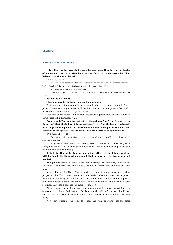# **A MESSAGE TO BELIEVERS**

**Lately the Lord has repeatedly brought to my attention the fourth chapter of Ephesians. Paul is writing here to the Church at Ephesus—Spirit-filled believers. Notice what he said:**

EPHESIANS 4:22-24

22 That ye put off concerning the former conversation [this word in Greek means "manner of life" or "conduct"] the old man, which is corrupt according to the deceitful lusts;

23 And be renewed in the spirit of your mind;

24 And that ye put on the new man, which after God is created in righteousness and true holiness.

#### **Put on the new man!**

## **That new man is Christ in you, the hope of glory.**

That new man is the man on the inside who has become a new creature in Christ Jesus: *"Therefore if any man be in Christ, he is* [he *is,* not he's going to become] *a new creature* [or creation] . . ." (2 Cor. 5:17).

That man on the inside is a new man, created in righteousness and true holiness, as we just read in Ephesians 4:24.

**Even though Paul said to "put off . . . the old man," we're still living in the flesh, and that flesh hasn't been redeemed yet. Our flesh—our body—will want to go on doing what it's always done. So how do we put on the new man, and how do we "put off" the old man? Let's read further in Ephesians 4:**

EPHESIANS 4:25, 26, 28

25 Wherefore putting away lying, speak every man truth with his neighbour . . . [lying doesn't go with the new man]

26 Be ye angry, and sin not: let not the sun go down upon your wrath . . . [How can you be angry and sin not? By keeping your mouth shut. Anger doesn't belong to the new man; it's part of the old man.]

**28 Let him that stole steal no more: but rather let him labour, working with his hands the thing which is good, that he may have to give to him that needeth.**

Paul got both words in there: "labor" and "working"! He didn't say, "Let him get on welfare." You know, you could take a little side journey here and step on a few toes.

In the time of the Early Church, civil governments didn't have any welfare programs. The Church took care of its own needy, including widows and orphans. Paul, however, writing to Timothy, said that when widows had children or nephews, they should support them, not the Church. In other words, if the widows had some relatives, they should take care of them (1 Tim. 5:3-8).

We've gotten away from this; the government is doing everything; the government is almost God, you see. But Paul said the widows' relatives should take care of them. And he said believers should work with their own hands to earn their living

We've got students who come to school and want to sponge off the other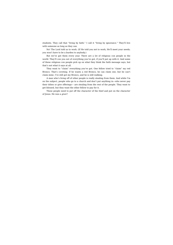students. They call that "living by faith." I call it "living by ignorance." They'll live with someone as long as they can.

No! The Lord told us to work. (If He told you not to work, He'll meet your needs; you won't have to be a burden to anybody.)

But we've got them every year. There are a lot of religious con people in the world. They'll con you out of everything you've got, if you'll put up with it. And some of these religious con people pick up on what they think the faith message says, but that's not what it says at all.

They want to "claim" everything you've got. One fellow tried to "claim" my red Bronco. That's coveting. If he wants a red Bronco, he can claim one, but he can't claim mine. I've still got my Bronco, and he is still walking.

A man who's living off of other people is really stealing from them. And while I'm on the subject, people who go to a church and don't put anything in—who never pay their tithes or give offerings— are stealing from the rest of the people. They want to get blessed, but they want the other fellow to pay for it.

These people need to put off the character of the thief and put on the character of Jesus. He was a *giver!*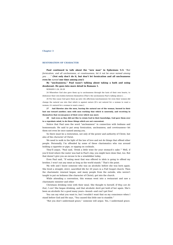# **RESTORATION OF CHARACTER**

**Paul continued to talk about the "new man" in Ephesians 5:3:** *"But fornication, and all uncleanness, or covetousness, let it not be once named among you . . ."* **(Not only don't do it, but don't let fornication and all uncleanness even be** *named* **one time among you!)**

**By "uncleanness," Paul wasn't talking about taking a bath and using deodorant. He goes into more detail in Romans 1.**

ROMANS 1:24, 26-28

24 Wherefore God also gave them up to uncleanness through the lusts of their own hearts, to dishonour their own bodies between themselves [That's the uncleanness Paul's talking about.] . . .

26 For this cause God gave them up unto vile affections [uncleanness]: for even their women did change the natural use into that which is against nature [It's not natural for a woman to want a woman; it's natural for a woman to want a man.]:

**27 And likewise also the men, leaving the natural use of the woman, burned in their lust one toward another; men with men working that which is unseemly, and receiving in themselves that recom-pence of their error which was meet.**

**28 And even as they did not like to retain God in their knowledge, God gave them over to a reprobate mind, to do those things which are not convenient.**

Notice that Paul uses the word "uncleanness" in connection with lesbians and homosexuals. He said to put away fornication, uncleanness, and covetousness—let them not even be once named among you.

So there must be a restoration, not only of the power and authority of Christ, but also of the *character* of Christ.

We need to walk in the light of the law of love and not do things that offend other people. Personally, I'm offended by some of these charismatics who run around holding a cigarette or pipe, or sipping on cocktails.

They'll argue, "Paul said, 'Drink a little wine for your stomach's sake.'" Well, if you'd lived where the water was bad in Paul's day, you might have done that, too. But that doesn't give you an excuse to be a winebibber today.

Even Paul said, "If eating meat that was offered to idols is going to offend my brother, I won't eat any meat as long as the world stands." That's the point.

My wife and I know someone who was an alcoholic before she was born again. She lived a straight, strict, sanctified life for 20 years in a Full Gospel church. Then the charismatic renewal began, and many people from the outside, who weren't taught to put on holiness (the character of Christ), got into the church.

While attending a convention, this woman went into a restaurant and saw a charismatic minister and other

Christians drinking wine with their meal. She thought to herself, *If they can do that, I can!* She began drinking, and that alcoholic devil got hold of her again. She's been an alcoholic for a good many years—bound—and can't get free!

You can say what you want to, but I wouldn't want that on my conscience when I stand before God and He says, "You caused this little one to stumble."

"But you don't understand grace," someone will argue. Yes, I understand grace.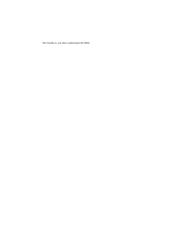The trouble is, you don't understand the Bible.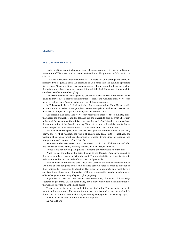# **RESTORATION OF GIFTS**

God's endtime plan includes a time of restoration of His *glory,* a time of restoration of His *power*, and a time of restoration of His *gifts and ministries* to the Church.

I've seen occasional manifestations of the glory of God through my years of ministry. I've frequently seen the presence of God come into the building appearing like a cloud. About four times I've seen something like waves roll in from the back of the building and hover over the people. Although it looked like waves, it was a white cloud—a manifestation of His glory.

I'm firmly convinced we're going to see more of that in these end times. We're going to move into a greater manifestation of signs and wonders than we've seen before. I believe there's going to be a revival of the supernatural.

In Ephesians 4:11, you'll find that when Christ ascended on High, He gave gifts to men: some apostles, some prophets, some evangelists, and some pastors and teachers for the perfecting—or maturing—of the Body of Christ.

Our mistake has been that we've only recognized three of these ministry gifts: the pastor, the evangelist, and the teacher. For the Church to ever be what She ought to be, and for us to have the ministry and do the work God intended, we must have the manifestation of the fivefold ministry. We must recognize the ministry gifts, honor them, and permit them to function in the way God wants them to function.

We also must recognize what we call the gifts or manifestations of the Holy Spirit: the word of wisdom, the word of knowledge, faith, gifts of healings, the working of miracles, prophecy, discerning of spirits, divers kinds of tongues, and interpretation of tongues (1 Cor. 12:8-10).

Now notice the next verse, First Corinthians 12:11, *"But all these worketh that one and the selfsame Spirit, dividing to every man severally as he will."*

Notice He is not dividing the gift; He is dividing the *manifestation* of the gift.

What we call the gifts of the Spirit belong to the Church. They have existed all the time; they have just been lying dormant. The manifestation of them is given to individual members of the Body of Christ as the Spirit wills.

We also need to understand this: Those who stand in the fivefold ministry offices are more or less equipped with some of these spiritual gifts in order to function in their offices. For instance, to stand in the office of a prophet, one must have a consistent manifestation of at least two of the revelation gifts (word of wisdom, word of knowledge, or discerning of spirits) plus prophecy.

A prophet is one who has visions and revelations; the word of knowledge operates in prophets. On the other hand, any believer may have a manifestation of the word of knowledge as the need arises.

There is going to be a renewal of the spiritual gifts. They're going to be in manifestation even more. I'm seeing it in my own ministry, and others are seeing it in theirs. (For an in-depth look at this subject, see my study guide, *The Ministry Gifts*.)

In conclusion, turn to another portion of Scripture:

**LUKE 5:36-38**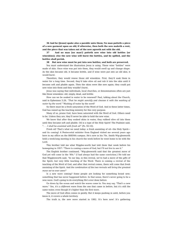**36 And he [Jesus] spake also a parable unto them; No man putteth a piece of a new garment upon an old; if otherwise, then both the new maketh a rent, and the piece that was taken out of the new agreeth not with the old.**

**37 And no man [no man!] putteth new wine into old bottles [or wineskins]; else the new wine will burst the bottles, and be spilled, and the bottles shall perish.**

**38 But new wine must be put into new bottles; and both are preserved.**

You must understand the illustration Jesus is using. These wine "bottles" were made of skin. Once wine was put into them, they would swell up and change shape. As the skin became old, it became brittle, and if wine were put into an old skin, it would burst.

Therefore, they would renew those old wineskins. First, they'd soak them in water for a long time. Second, they'd take olive oil and rub it into the skin until it became soft and pliable again. Then the skins were like new again; they could put new wine into them and they wouldn't burst.

Jesus was saying that individuals, local churches, or denominations often are just like those wineskins: old, empty, dead, and brittle.

How can we be soaked in water to be renewed? Paul, talking about the Church, said in Ephesians 5:26, *"That he might sanctify and cleanse it with the washing of water by the word."* Washing of water by the *word!*

So there must be a fresh saturation of the Word of God. And in these latter times, God has raised up the teaching ministry for this very purpose.

Many of us, praise God, have been saturated with the Word of God. Others need to be. Unless they are, they'll never be able to hold the new wine.

We know that after they soaked skins in water, they rubbed olive oil into them until they became soft and pliable. Oil is a type of the Holy Spirit! The Psalmist said, *". . . I shall be anointed with fresh oil"* (Ps. 92:10).

Fresh oil! That's what we need today: a fresh anointing of oil—the Holy Spirit and its coming! A Pentecostal minister from England visited me several years ago here in my office on the RHEMA campus. He's now in his 70s. Smith Wig-glesworth held a week-long meeting in his church the week before he went home to be with the Lord.

This brother told me what Wiggles-worth had told them that week before his homegoing in 1957: "There is coming a move of God, but I'll not live to see it."

The English brother continued, "Wig-glesworth said that the greatest move of God yet will come in the '80s." (I had always had the same conviction.) He told me that Wigglesworth said, "In our day, in this revival, we've had a move of the *gifts* of the Spirit, but very little teaching of the Word. There is coming a revival of the teaching of the *Word* of God, and after that revival comes, there will come that fresh anointing of the Spirit. And *the combination of the two revivals will bring the greatest move we've ever seen!"*

Is a new wave coming? Some people are looking for something brand new; something that has never happened before. In that sense, there's never going to be a *new* wave. God's going to do everything He's ever done before.

Go down by the ocean and watch the waves come in. You may say, "That's a new wave." Yes, it's a *different* wave from the one that came in before, but it's still the same water, even though it's higher than the first wave.

The move of God often comes in gently. But it keeps pushing in until, before you know it, it covers a whole territory.

The truth is, the new wave started in 1982. It's here now! It's gathering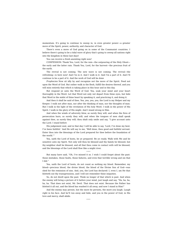momentum. It's going to continue to sweep in, in even greater power—a greater move of the Spirit, power, authority, and character of God.

There's even a move of God going on in some of the Communist countries. I believe there's going to be a tidal wave of glory that's going to sweep all nations right into the kingdom in these last days!

You can receive a fresh anointing right now!

CONFESSION: Thank You, Lord, for the rain—the outpouring of the Holy Ghost the early and the latter rain. Thank You, Lord, for the harvest—the precious fruit of the earth.

The revival is not coming. The new wave is not coming. The revival—the refreshing—is here now! And I'm in it. And I walk in it. And I'm a part of it. And I'll continue to be a part of it. And the work of God will be done

*Prophecies* Now sit idly by and recognize not the move of the Spirit. Feed not upon the Word of God. But rather walk in the flesh, fulfill the desires thereof, and you will miss entirely that which is taking place in this hour and in this day.

But respond ye unto the Word of God. Yea, soak your mind and your heart thoroughly in the Word. Let that Word not only *not* depart from thine eyes, but hide that Word in the midst of thine heart by speaking it, and practicing it, and doing it.

And then it shall be said of thee, Yea, yea, yea, yea, the Lord is my Helper and my Keeper. I walk not after man, nor after the thinking of man, nor the thoughts of man. But I walk in the light of the revelation of His holy Word. I walk in the power of His Spirit. I walk in the glory of His might. And I stand strong in Him.

And when the winds of adversity blow, as surely they will; and when the fires of persecution burn, as surely they will; and when the tongues of men shall speak against thee, as surely they will; thou shalt only smile and say, "I give account unto the Lord. I stand before

His judgement seat, and in that day I will be able to say, 'Lord, I've done my best. I've been faithful.' And He will say to me, 'Well done, thou good and faithful servant. Enter thou into the blessings of the Lord prepared for thee before the foundation of the world.'"

Yea, saith the Lord of hosts, be ye prepared. Be ye ready. Walk with Me and be sensitive unto my Spirit. Not only will thou be blessed and thy family be blessed, but thy neighbor shall be blessed, and all that thou come in contact with will be blessed; and the blessings of the Lord shall flow like a might river.

#### \* \* \*

But many have said, "Oh, I've missed it so. I wish I could forget about the past: those mistakes, those faults, those failures, and even that terrible wrong and sin that I did."

Yea, saith the Lord of hosts, do not count as nothing my blood. Remember, my blood—precious blood, the divine blood, the blood of the Divine Son of God—was shed for the remission of sins. And, yea, the Lord has declared: I, even I, am He that blotteth out thy transgressions, and I will not remember thine iniquities.

So, do not dwell upon the past. Think no longer of that which is past. And when the enemy will bring a picture of it before your mind, just laugh and say, "Ha, ha, ha, ha, ha. That does not exist, Mr. Devil. That does not exist. Because the Father has blotted it all out, and the blood has washed it all away, and now I stand in Him!"

And the enemy may persist, but the more he persists, the more you laugh. Laugh right in his face. And he'll run away and hide, and you in the power of God, in His love and mercy, shall abide.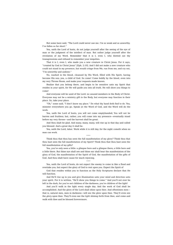But some have said, "The Lord could never use me. I'm so weak and so unworthy. I've fallen so far short."

Yea, saith the Lord of hosts, do not judge yourself after the seeing of the eye of man or the judgment of the intellect of man. But rather judge yourself after the revelation of my Word. Remember that it is I, even I, who blotted out thy transgressions and refused to remember your iniquities.

That it is I, even I, who made you a new creature in Christ Jesus. For it says, "created by God in Christ Jesus" [Eph. 2:10]. And I did not make a new creature who could not stand in my presence, but would cringe from Me, run from me, and cry out, "I'm unworthy and undone."

No, washed in the blood, cleansed by His Word, filled with His Spirit, having become His son; yea, a child of God. So come! Come boldly by the blood, even into my very Throne Room, and make your requests made known.

Realize that you belong there, and begin to be sensitive unto my Spirit that resides in your spirit, for He will guide you into all truth. He will show you things to come!

And everyone will be used of the Lord: no unused members in the Body of Christ. Everyone may not be a ministry gift *to* the Body, but everyone may function in their place. So, take your place.

"Oh," some said, "I don't know my place." Do what thy hand doth find to do. Yea, minister everywhere you go. Speak ye the Word of God, and the Word will do the work.

Yea, saith the Lord of hosts, you will not come emptyhanded; You will not be barren and fruitless; but, rather, you will come into my presence—eventually stand before my very throne—and the harvest shall be great.

And thou shalt be glad. And many, many, many, will rise up in that day and called you blessed. And a great day it shall be.

Yea, saith the Lord, labor. Work while it is still day, for the night cometh when no man can work.

\* \* \*

Think thou that thou has seen the full manifestation of my glory? Think thou that thou hast seen the full manifestation of my Spirit? Think thou that thou hast seen the full manifestation of my gifts?

Yea, you've only seen a little: a glimpse here and a glimpse there; a little here and a little there. But thine eye shall see and thine ear shall hear the manifestation of the glory of God, the manifestation of the Spirit of God, the manifestation of the gifts of God. And thou shalt have cause for much rejoicing.

\* \* \*

Yea, saith the Lord of hosts, do not expect the enemy to come in like a flood and overtake you; but expect the glory of God to rest upon you. Expect the Spirit of

God that resides within you to function as the Holy Scriptures declare that He will function.

And He'll rise up in you and give illumination unto your mind and direction unto your spirit. For it is written, "He'll show you things to come." And you'll not ever be left in the dark, for you're not children of the darkness; you're children of the light!

And you'll walk in the light every single day. And the work of God shall be accomplished. And the glory of the Lord shall shine upon thee. And oftentimes men that is, natural men, men in darkness—will see the glow upon thee. They'll even see the *glory* upon thee. They'll even see the *light* shining forth from thee, and come and walk with thee and be blessed forevermore.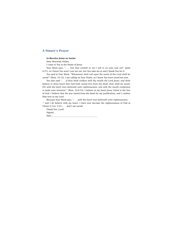# **A Sinner's Prayer**

# **to Receive Jesus as Savior**

Dear Heavenly Father,

I come to You in the Name of Jesus.

Your Word says, *". . . him that cometh to me I will in no wise cast out"* (John 6:37), so I know You won't cast me out, but You take me in and I thank You for it.

You said in Your Word, *"Whosoever shall call upon the name of the Lord shall be saved'"* (Rom. 10:13). I am calling on Your Name, so I know You have saved me now.

You also said *". . . if thou shalt confess with thy mouth the Lord Jesus, and shalt believe in thine heart that God hath raised him from the dead, thou shalt be saved. For with the heart man believeth unto righteousness; and with the mouth confession is made unto salvation'"* (Rom. 10:9-10). I believe in my heart Jesus Christ is the Son of God. I believe that He was raised from the dead for my justification, and I confess Him now as my Lord.

Because Your Word says, *". . . with the heart man believeth unto righteousness . . ."* and I do believe with my heart, I have now become the righteousness of God in Christ (2 Cor. 5:21) . . . And I am saved!

Thank You, Lord! Signed\_  $\text{Date}$